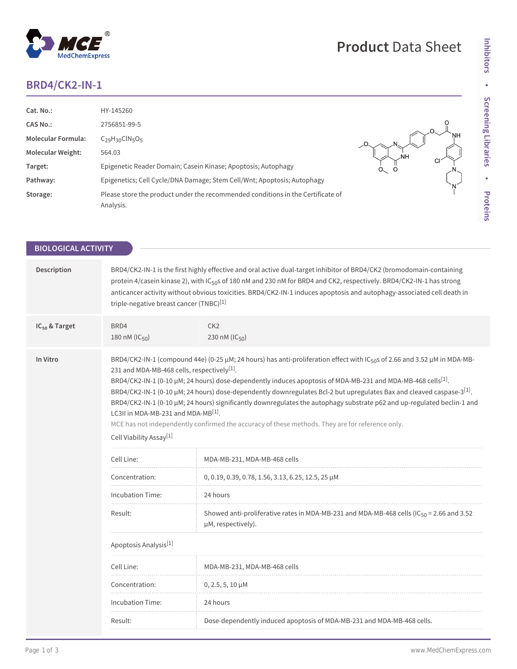## **BRD4/CK2-IN-1**

MedChemExpress

 $^\circledR$ 

| Cat. No.:                 | HY-145260                                                                                    |                    |
|---------------------------|----------------------------------------------------------------------------------------------|--------------------|
| <b>CAS No.:</b>           | 2756851-99-5                                                                                 |                    |
| <b>Molecular Formula:</b> | $C_{29}H_{30}CIN_5O_5$                                                                       |                    |
| <b>Molecular Weight:</b>  | 564.03                                                                                       |                    |
| Target:                   | Epigenetic Reader Domain; Casein Kinase; Apoptosis; Autophagy                                | U<br>$\circ$<br>O. |
| Pathway:                  | Epigenetics; Cell Cycle/DNA Damage; Stem Cell/Wnt; Apoptosis; Autophagy                      |                    |
| Storage:                  | Please store the product under the recommended conditions in the Certificate of<br>Analysis. |                    |

**Product** Data Sheet

| Description<br>BRD4/CK2-IN-1 is the first highly effective and oral active dual-target inhibitor of BRD4/CK2 (bromodomain-containing<br>protein 4/casein kinase 2), with IC <sub>50</sub> s of 180 nM and 230 nM for BRD4 and CK2, respectively. BRD4/CK2-IN-1 has strong<br>anticancer activity without obvious toxicities. BRD4/CK2-IN-1 induces apoptosis and autophagy-associated cell death in<br>triple-negative breast cancer (TNBC)[1]<br>IC <sub>50</sub> & Target<br>BRD4<br>CK <sub>2</sub><br>180 nM (IC <sub>50</sub> )<br>230 nM (IC <sub>50</sub> )<br>In Vitro<br>BRD4/CK2-IN-1 (compound 44e) (0-25 µM; 24 hours) has anti-proliferation effect with IC <sub>50</sub> s of 2.66 and 3.52 µM in MDA-MB-<br>231 and MDA-MB-468 cells, respectively <sup>[1]</sup> .<br>BRD4/CK2-IN-1 (0-10 µM; 24 hours) dose-dependently induces apoptosis of MDA-MB-231 and MDA-MB-468 cells <sup>[1]</sup> .<br>BRD4/CK2-IN-1 (0-10 µM; 24 hours) dose-dependently downregulates Bcl-2 but upregulates Bax and cleaved caspase-3 <sup>[1]</sup> .<br>BRD4/CK2-IN-1 (0-10 µM; 24 hours) significantly downregulates the autophagy substrate p62 and up-regulated beclin-1 and<br>LC3II in MDA-MB-231 and MDA-MB[1].<br>MCE has not independently confirmed the accuracy of these methods. They are for reference only.<br>Cell Viability Assay <sup>[1]</sup><br>Cell Line:<br>MDA-MB-231, MDA-MB-468 cells<br>Concentration:<br>0, 0.19, 0.39, 0.78, 1.56, 3.13, 6.25, 12.5, 25 µM<br>24 hours<br>Incubation Time:<br>Showed anti-proliferative rates in MDA-MB-231 and MDA-MB-468 cells (IC $_{50}$ = 2.66 and 3.52<br>Result:<br>µM, respectively).<br>Apoptosis Analysis <sup>[1]</sup><br>Cell Line:<br>MDA-MB-231, MDA-MB-468 cells<br>Concentration:<br>$0, 2.5, 5, 10 \mu M$<br><b>Incubation Time:</b><br>24 hours<br>Result:<br>Dose-dependently induced apoptosis of MDA-MB-231 and MDA-MB-468 cells. | <b>BIOLOGICAL ACTIVITY</b> |  |  |  |  |
|-------------------------------------------------------------------------------------------------------------------------------------------------------------------------------------------------------------------------------------------------------------------------------------------------------------------------------------------------------------------------------------------------------------------------------------------------------------------------------------------------------------------------------------------------------------------------------------------------------------------------------------------------------------------------------------------------------------------------------------------------------------------------------------------------------------------------------------------------------------------------------------------------------------------------------------------------------------------------------------------------------------------------------------------------------------------------------------------------------------------------------------------------------------------------------------------------------------------------------------------------------------------------------------------------------------------------------------------------------------------------------------------------------------------------------------------------------------------------------------------------------------------------------------------------------------------------------------------------------------------------------------------------------------------------------------------------------------------------------------------------------------------------------------------------------------------------------------------------------------------------------------------------------------------|----------------------------|--|--|--|--|
|                                                                                                                                                                                                                                                                                                                                                                                                                                                                                                                                                                                                                                                                                                                                                                                                                                                                                                                                                                                                                                                                                                                                                                                                                                                                                                                                                                                                                                                                                                                                                                                                                                                                                                                                                                                                                                                                                                                   |                            |  |  |  |  |
|                                                                                                                                                                                                                                                                                                                                                                                                                                                                                                                                                                                                                                                                                                                                                                                                                                                                                                                                                                                                                                                                                                                                                                                                                                                                                                                                                                                                                                                                                                                                                                                                                                                                                                                                                                                                                                                                                                                   |                            |  |  |  |  |
|                                                                                                                                                                                                                                                                                                                                                                                                                                                                                                                                                                                                                                                                                                                                                                                                                                                                                                                                                                                                                                                                                                                                                                                                                                                                                                                                                                                                                                                                                                                                                                                                                                                                                                                                                                                                                                                                                                                   |                            |  |  |  |  |
|                                                                                                                                                                                                                                                                                                                                                                                                                                                                                                                                                                                                                                                                                                                                                                                                                                                                                                                                                                                                                                                                                                                                                                                                                                                                                                                                                                                                                                                                                                                                                                                                                                                                                                                                                                                                                                                                                                                   |                            |  |  |  |  |
|                                                                                                                                                                                                                                                                                                                                                                                                                                                                                                                                                                                                                                                                                                                                                                                                                                                                                                                                                                                                                                                                                                                                                                                                                                                                                                                                                                                                                                                                                                                                                                                                                                                                                                                                                                                                                                                                                                                   |                            |  |  |  |  |
|                                                                                                                                                                                                                                                                                                                                                                                                                                                                                                                                                                                                                                                                                                                                                                                                                                                                                                                                                                                                                                                                                                                                                                                                                                                                                                                                                                                                                                                                                                                                                                                                                                                                                                                                                                                                                                                                                                                   |                            |  |  |  |  |
|                                                                                                                                                                                                                                                                                                                                                                                                                                                                                                                                                                                                                                                                                                                                                                                                                                                                                                                                                                                                                                                                                                                                                                                                                                                                                                                                                                                                                                                                                                                                                                                                                                                                                                                                                                                                                                                                                                                   |                            |  |  |  |  |
|                                                                                                                                                                                                                                                                                                                                                                                                                                                                                                                                                                                                                                                                                                                                                                                                                                                                                                                                                                                                                                                                                                                                                                                                                                                                                                                                                                                                                                                                                                                                                                                                                                                                                                                                                                                                                                                                                                                   |                            |  |  |  |  |
|                                                                                                                                                                                                                                                                                                                                                                                                                                                                                                                                                                                                                                                                                                                                                                                                                                                                                                                                                                                                                                                                                                                                                                                                                                                                                                                                                                                                                                                                                                                                                                                                                                                                                                                                                                                                                                                                                                                   |                            |  |  |  |  |
|                                                                                                                                                                                                                                                                                                                                                                                                                                                                                                                                                                                                                                                                                                                                                                                                                                                                                                                                                                                                                                                                                                                                                                                                                                                                                                                                                                                                                                                                                                                                                                                                                                                                                                                                                                                                                                                                                                                   |                            |  |  |  |  |
|                                                                                                                                                                                                                                                                                                                                                                                                                                                                                                                                                                                                                                                                                                                                                                                                                                                                                                                                                                                                                                                                                                                                                                                                                                                                                                                                                                                                                                                                                                                                                                                                                                                                                                                                                                                                                                                                                                                   |                            |  |  |  |  |
|                                                                                                                                                                                                                                                                                                                                                                                                                                                                                                                                                                                                                                                                                                                                                                                                                                                                                                                                                                                                                                                                                                                                                                                                                                                                                                                                                                                                                                                                                                                                                                                                                                                                                                                                                                                                                                                                                                                   |                            |  |  |  |  |
|                                                                                                                                                                                                                                                                                                                                                                                                                                                                                                                                                                                                                                                                                                                                                                                                                                                                                                                                                                                                                                                                                                                                                                                                                                                                                                                                                                                                                                                                                                                                                                                                                                                                                                                                                                                                                                                                                                                   |                            |  |  |  |  |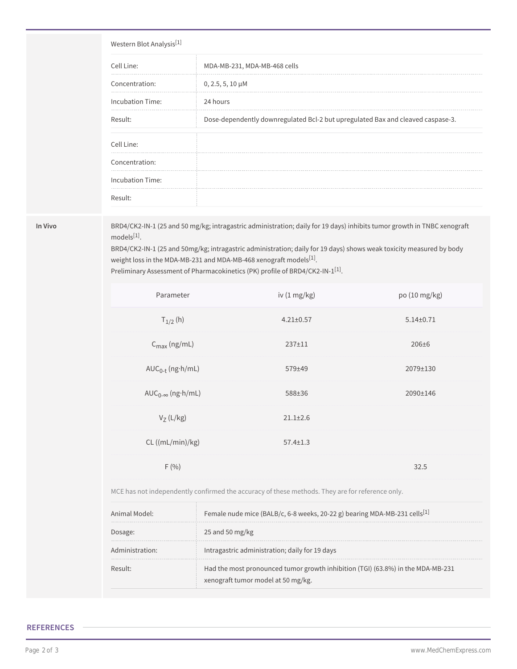# Western Blot Analysis[1] Cell Line: MDA-MB-231, MDA-MB-468 cells Concentration: 0, 2.5, 5, 10 μM Incubation Time: 24 hours Result: Dose-dependently downregulated Bcl-2 but upregulated Bax and cleaved caspase-3. Cell Line: Concentration: Incubation Time: Result:

**In Vivo** BRD4/CK2-IN-1 (25 and 50 mg/kg; intragastric administration; daily for 19 days) inhibits tumor growth in TNBC xenograft models[1] .

> BRD4/CK2-IN-1 (25 and 50mg/kg; intragastric administration; daily for 19 days) shows weak toxicity measured by body weight loss in the MDA-MB-231 and MDA-MB-468 xenograft models $^{[1]}$ .

Preliminary Assessment of Pharmacokinetics (PK) profile of BRD4/CK2-IN-1 $^{\left[ 1\right] }$ .

| iv $(1 \text{ mg/kg})$ | po (10 mg/kg)   |
|------------------------|-----------------|
| $4.21 \pm 0.57$        | $5.14 \pm 0.71$ |
| $237 + 11$             | $206 \pm 6$     |
| 579±49                 | 2079±130        |
| 588±36                 | 2090±146        |
| $21.1 \pm 2.6$         |                 |
| $57.4 \pm 1.3$         |                 |
|                        | 32.5            |
|                        |                 |

MCE has not independently confirmed the accuracy of these methods. They are for reference only.

| Animal Model:   | Female nude mice (BALB/c, 6-8 weeks, 20-22 g) bearing MDA-MB-231 cells <sup>[1]</sup>                                 |
|-----------------|-----------------------------------------------------------------------------------------------------------------------|
| Dosage:         | 25 and 50 mg/kg                                                                                                       |
| Administration: | Intragastric administration; daily for 19 days                                                                        |
| Result:         | Had the most pronounced tumor growth inhibition (TGI) (63.8%) in the MDA-MB-231<br>xenograft tumor model at 50 mg/kg. |

### **REFERENCES**